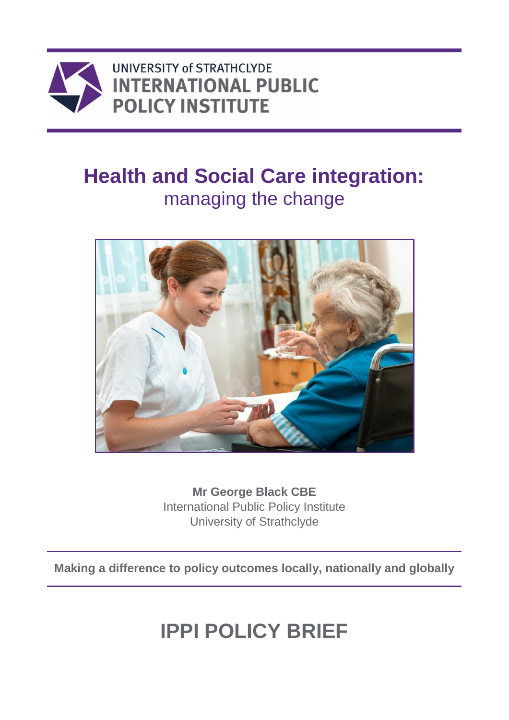

## **Health and Social Care integration:** managing the change



**Mr George Black CBE** International Public Policy Institute University of Strathclyde

**Making a difference to policy outcomes locally, nationally and globally**

# **IPPI POLICY BRIEF**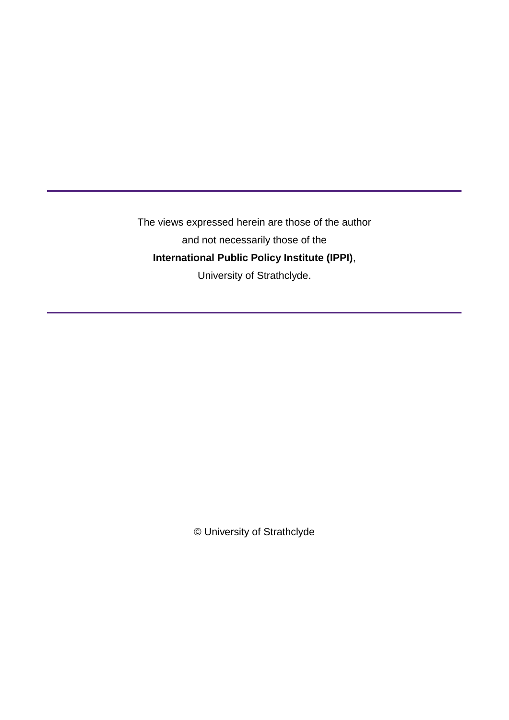The views expressed herein are those of the author and not necessarily those of the **International Public Policy Institute (IPPI)**, University of Strathclyde.

© University of Strathclyde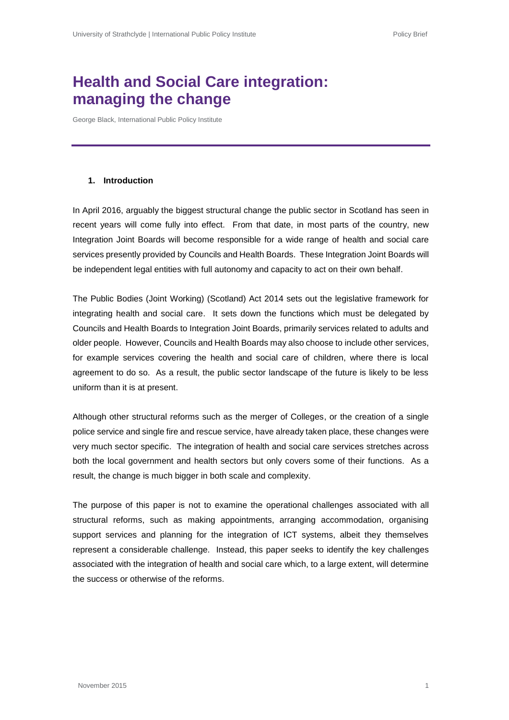### **Health and Social Care integration: managing the change**

George Black, International Public Policy Institute

#### **1. Introduction**

In April 2016, arguably the biggest structural change the public sector in Scotland has seen in recent years will come fully into effect. From that date, in most parts of the country, new Integration Joint Boards will become responsible for a wide range of health and social care services presently provided by Councils and Health Boards. These Integration Joint Boards will be independent legal entities with full autonomy and capacity to act on their own behalf.

The Public Bodies (Joint Working) (Scotland) Act 2014 sets out the legislative framework for integrating health and social care. It sets down the functions which must be delegated by Councils and Health Boards to Integration Joint Boards, primarily services related to adults and older people. However, Councils and Health Boards may also choose to include other services, for example services covering the health and social care of children, where there is local agreement to do so. As a result, the public sector landscape of the future is likely to be less uniform than it is at present.

Although other structural reforms such as the merger of Colleges, or the creation of a single police service and single fire and rescue service, have already taken place, these changes were very much sector specific. The integration of health and social care services stretches across both the local government and health sectors but only covers some of their functions. As a result, the change is much bigger in both scale and complexity.

The purpose of this paper is not to examine the operational challenges associated with all structural reforms, such as making appointments, arranging accommodation, organising support services and planning for the integration of ICT systems, albeit they themselves represent a considerable challenge. Instead, this paper seeks to identify the key challenges associated with the integration of health and social care which, to a large extent, will determine the success or otherwise of the reforms.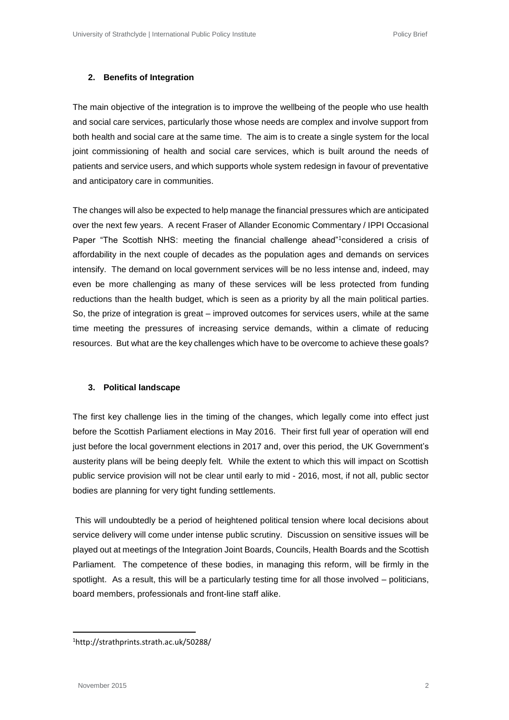#### **2. Benefits of Integration**

The main objective of the integration is to improve the wellbeing of the people who use health and social care services, particularly those whose needs are complex and involve support from both health and social care at the same time. The aim is to create a single system for the local joint commissioning of health and social care services, which is built around the needs of patients and service users, and which supports whole system redesign in favour of preventative and anticipatory care in communities.

The changes will also be expected to help manage the financial pressures which are anticipated over the next few years. A recent Fraser of Allander Economic Commentary / IPPI Occasional Paper "The Scottish NHS: meeting the financial challenge ahead"<sup>1</sup>considered a crisis of affordability in the next couple of decades as the population ages and demands on services intensify. The demand on local government services will be no less intense and, indeed, may even be more challenging as many of these services will be less protected from funding reductions than the health budget, which is seen as a priority by all the main political parties. So, the prize of integration is great – improved outcomes for services users, while at the same time meeting the pressures of increasing service demands, within a climate of reducing resources. But what are the key challenges which have to be overcome to achieve these goals?

#### **3. Political landscape**

The first key challenge lies in the timing of the changes, which legally come into effect just before the Scottish Parliament elections in May 2016. Their first full year of operation will end just before the local government elections in 2017 and, over this period, the UK Government's austerity plans will be being deeply felt. While the extent to which this will impact on Scottish public service provision will not be clear until early to mid - 2016, most, if not all, public sector bodies are planning for very tight funding settlements.

This will undoubtedly be a period of heightened political tension where local decisions about service delivery will come under intense public scrutiny. Discussion on sensitive issues will be played out at meetings of the Integration Joint Boards, Councils, Health Boards and the Scottish Parliament. The competence of these bodies, in managing this reform, will be firmly in the spotlight. As a result, this will be a particularly testing time for all those involved – politicians, board members, professionals and front-line staff alike.

**.** 

<sup>1</sup>http://strathprints.strath.ac.uk/50288/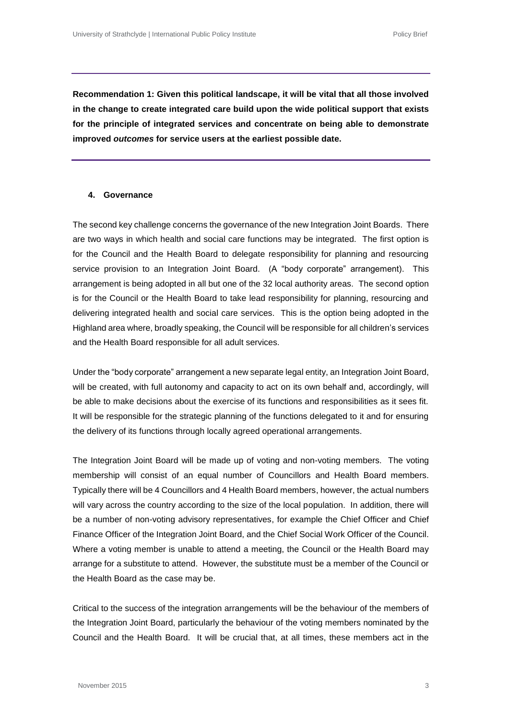**Recommendation 1: Given this political landscape, it will be vital that all those involved in the change to create integrated care build upon the wide political support that exists for the principle of integrated services and concentrate on being able to demonstrate improved** *outcomes* **for service users at the earliest possible date.**

#### **4. Governance**

The second key challenge concerns the governance of the new Integration Joint Boards. There are two ways in which health and social care functions may be integrated. The first option is for the Council and the Health Board to delegate responsibility for planning and resourcing service provision to an Integration Joint Board. (A "body corporate" arrangement). This arrangement is being adopted in all but one of the 32 local authority areas. The second option is for the Council or the Health Board to take lead responsibility for planning, resourcing and delivering integrated health and social care services. This is the option being adopted in the Highland area where, broadly speaking, the Council will be responsible for all children's services and the Health Board responsible for all adult services.

Under the "body corporate" arrangement a new separate legal entity, an Integration Joint Board, will be created, with full autonomy and capacity to act on its own behalf and, accordingly, will be able to make decisions about the exercise of its functions and responsibilities as it sees fit. It will be responsible for the strategic planning of the functions delegated to it and for ensuring the delivery of its functions through locally agreed operational arrangements.

The Integration Joint Board will be made up of voting and non-voting members. The voting membership will consist of an equal number of Councillors and Health Board members. Typically there will be 4 Councillors and 4 Health Board members, however, the actual numbers will vary across the country according to the size of the local population. In addition, there will be a number of non-voting advisory representatives, for example the Chief Officer and Chief Finance Officer of the Integration Joint Board, and the Chief Social Work Officer of the Council. Where a voting member is unable to attend a meeting, the Council or the Health Board may arrange for a substitute to attend. However, the substitute must be a member of the Council or the Health Board as the case may be.

Critical to the success of the integration arrangements will be the behaviour of the members of the Integration Joint Board, particularly the behaviour of the voting members nominated by the Council and the Health Board. It will be crucial that, at all times, these members act in the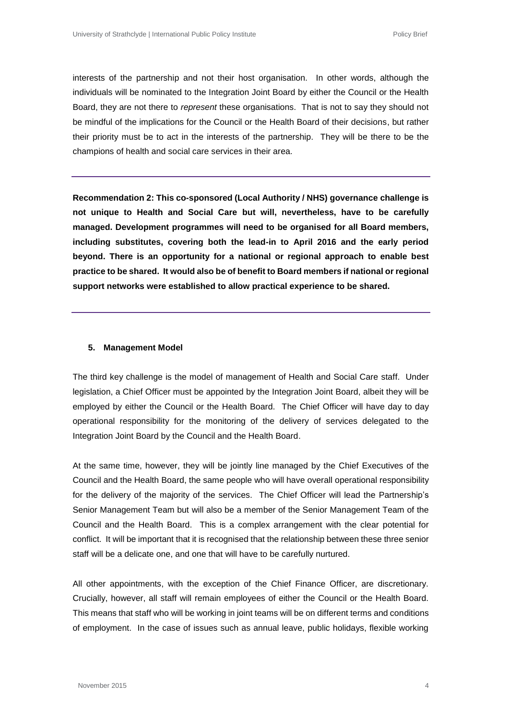interests of the partnership and not their host organisation. In other words, although the individuals will be nominated to the Integration Joint Board by either the Council or the Health Board, they are not there to *represent* these organisations. That is not to say they should not be mindful of the implications for the Council or the Health Board of their decisions, but rather their priority must be to act in the interests of the partnership. They will be there to be the champions of health and social care services in their area.

**Recommendation 2: This co-sponsored (Local Authority / NHS) governance challenge is not unique to Health and Social Care but will, nevertheless, have to be carefully managed. Development programmes will need to be organised for all Board members, including substitutes, covering both the lead-in to April 2016 and the early period beyond. There is an opportunity for a national or regional approach to enable best practice to be shared. It would also be of benefit to Board members if national or regional support networks were established to allow practical experience to be shared.**

#### **5. Management Model**

The third key challenge is the model of management of Health and Social Care staff. Under legislation, a Chief Officer must be appointed by the Integration Joint Board, albeit they will be employed by either the Council or the Health Board. The Chief Officer will have day to day operational responsibility for the monitoring of the delivery of services delegated to the Integration Joint Board by the Council and the Health Board.

At the same time, however, they will be jointly line managed by the Chief Executives of the Council and the Health Board, the same people who will have overall operational responsibility for the delivery of the majority of the services. The Chief Officer will lead the Partnership's Senior Management Team but will also be a member of the Senior Management Team of the Council and the Health Board. This is a complex arrangement with the clear potential for conflict. It will be important that it is recognised that the relationship between these three senior staff will be a delicate one, and one that will have to be carefully nurtured.

All other appointments, with the exception of the Chief Finance Officer, are discretionary. Crucially, however, all staff will remain employees of either the Council or the Health Board. This means that staff who will be working in joint teams will be on different terms and conditions of employment. In the case of issues such as annual leave, public holidays, flexible working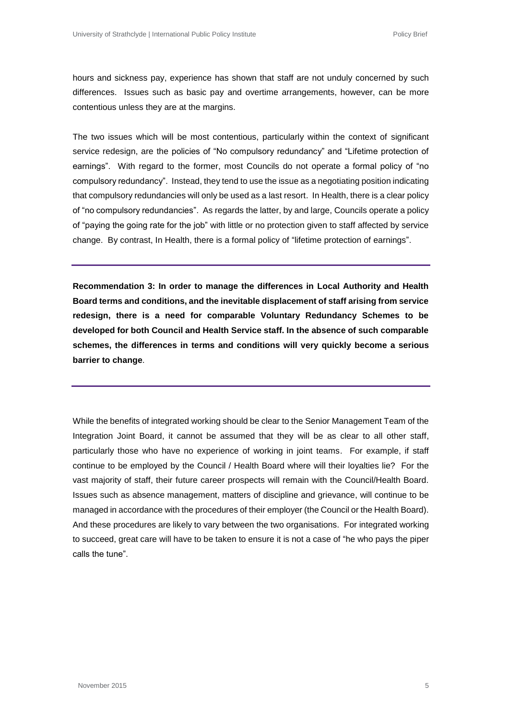hours and sickness pay, experience has shown that staff are not unduly concerned by such differences. Issues such as basic pay and overtime arrangements, however, can be more contentious unless they are at the margins.

The two issues which will be most contentious, particularly within the context of significant service redesign, are the policies of "No compulsory redundancy" and "Lifetime protection of earnings". With regard to the former, most Councils do not operate a formal policy of "no compulsory redundancy". Instead, they tend to use the issue as a negotiating position indicating that compulsory redundancies will only be used as a last resort. In Health, there is a clear policy of "no compulsory redundancies". As regards the latter, by and large, Councils operate a policy of "paying the going rate for the job" with little or no protection given to staff affected by service change. By contrast, In Health, there is a formal policy of "lifetime protection of earnings".

**Recommendation 3: In order to manage the differences in Local Authority and Health Board terms and conditions, and the inevitable displacement of staff arising from service redesign, there is a need for comparable Voluntary Redundancy Schemes to be developed for both Council and Health Service staff. In the absence of such comparable schemes, the differences in terms and conditions will very quickly become a serious barrier to change**.

While the benefits of integrated working should be clear to the Senior Management Team of the Integration Joint Board, it cannot be assumed that they will be as clear to all other staff, particularly those who have no experience of working in joint teams. For example, if staff continue to be employed by the Council / Health Board where will their loyalties lie? For the vast majority of staff, their future career prospects will remain with the Council/Health Board. Issues such as absence management, matters of discipline and grievance, will continue to be managed in accordance with the procedures of their employer (the Council or the Health Board). And these procedures are likely to vary between the two organisations. For integrated working to succeed, great care will have to be taken to ensure it is not a case of "he who pays the piper calls the tune".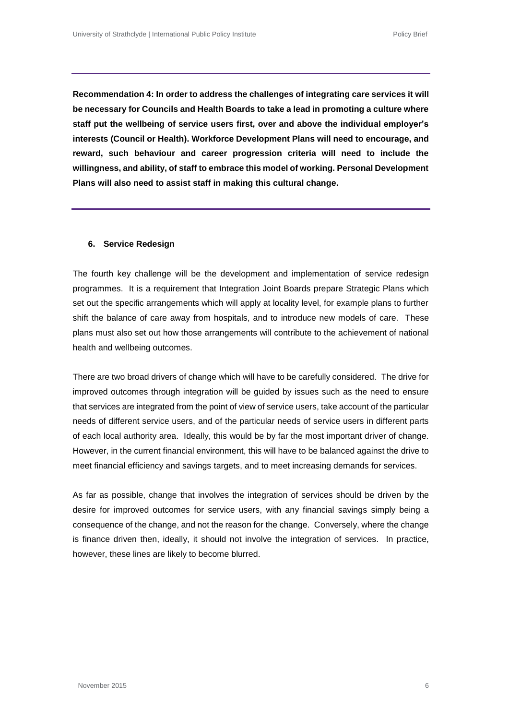**Recommendation 4: In order to address the challenges of integrating care services it will be necessary for Councils and Health Boards to take a lead in promoting a culture where staff put the wellbeing of service users first, over and above the individual employer's interests (Council or Health). Workforce Development Plans will need to encourage, and reward, such behaviour and career progression criteria will need to include the willingness, and ability, of staff to embrace this model of working. Personal Development Plans will also need to assist staff in making this cultural change.**

#### **6. Service Redesign**

The fourth key challenge will be the development and implementation of service redesign programmes. It is a requirement that Integration Joint Boards prepare Strategic Plans which set out the specific arrangements which will apply at locality level, for example plans to further shift the balance of care away from hospitals, and to introduce new models of care. These plans must also set out how those arrangements will contribute to the achievement of national health and wellbeing outcomes.

There are two broad drivers of change which will have to be carefully considered. The drive for improved outcomes through integration will be guided by issues such as the need to ensure that services are integrated from the point of view of service users, take account of the particular needs of different service users, and of the particular needs of service users in different parts of each local authority area. Ideally, this would be by far the most important driver of change. However, in the current financial environment, this will have to be balanced against the drive to meet financial efficiency and savings targets, and to meet increasing demands for services.

As far as possible, change that involves the integration of services should be driven by the desire for improved outcomes for service users, with any financial savings simply being a consequence of the change, and not the reason for the change. Conversely, where the change is finance driven then, ideally, it should not involve the integration of services. In practice, however, these lines are likely to become blurred.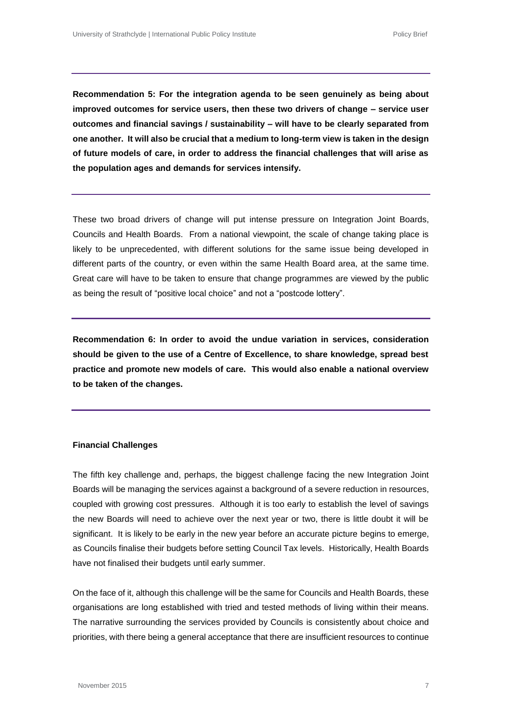**Recommendation 5: For the integration agenda to be seen genuinely as being about improved outcomes for service users, then these two drivers of change – service user outcomes and financial savings / sustainability – will have to be clearly separated from one another. It will also be crucial that a medium to long-term view is taken in the design of future models of care, in order to address the financial challenges that will arise as the population ages and demands for services intensify.**

These two broad drivers of change will put intense pressure on Integration Joint Boards, Councils and Health Boards. From a national viewpoint, the scale of change taking place is likely to be unprecedented, with different solutions for the same issue being developed in different parts of the country, or even within the same Health Board area, at the same time. Great care will have to be taken to ensure that change programmes are viewed by the public as being the result of "positive local choice" and not a "postcode lottery".

**Recommendation 6: In order to avoid the undue variation in services, consideration should be given to the use of a Centre of Excellence, to share knowledge, spread best practice and promote new models of care. This would also enable a national overview to be taken of the changes.**

#### **Financial Challenges**

The fifth key challenge and, perhaps, the biggest challenge facing the new Integration Joint Boards will be managing the services against a background of a severe reduction in resources, coupled with growing cost pressures. Although it is too early to establish the level of savings the new Boards will need to achieve over the next year or two, there is little doubt it will be significant. It is likely to be early in the new year before an accurate picture begins to emerge, as Councils finalise their budgets before setting Council Tax levels. Historically, Health Boards have not finalised their budgets until early summer.

On the face of it, although this challenge will be the same for Councils and Health Boards, these organisations are long established with tried and tested methods of living within their means. The narrative surrounding the services provided by Councils is consistently about choice and priorities, with there being a general acceptance that there are insufficient resources to continue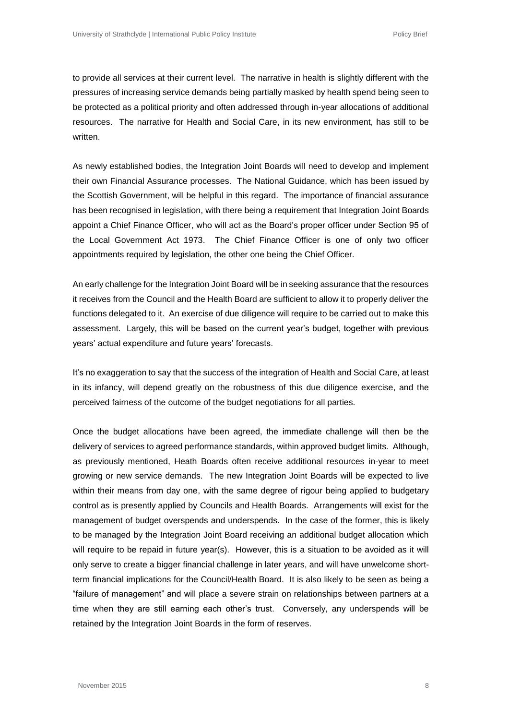to provide all services at their current level. The narrative in health is slightly different with the pressures of increasing service demands being partially masked by health spend being seen to be protected as a political priority and often addressed through in-year allocations of additional resources. The narrative for Health and Social Care, in its new environment, has still to be written.

As newly established bodies, the Integration Joint Boards will need to develop and implement their own Financial Assurance processes. The National Guidance, which has been issued by the Scottish Government, will be helpful in this regard. The importance of financial assurance has been recognised in legislation, with there being a requirement that Integration Joint Boards appoint a Chief Finance Officer, who will act as the Board's proper officer under Section 95 of the Local Government Act 1973. The Chief Finance Officer is one of only two officer appointments required by legislation, the other one being the Chief Officer.

An early challenge for the Integration Joint Board will be in seeking assurance that the resources it receives from the Council and the Health Board are sufficient to allow it to properly deliver the functions delegated to it. An exercise of due diligence will require to be carried out to make this assessment. Largely, this will be based on the current year's budget, together with previous years' actual expenditure and future years' forecasts.

It's no exaggeration to say that the success of the integration of Health and Social Care, at least in its infancy, will depend greatly on the robustness of this due diligence exercise, and the perceived fairness of the outcome of the budget negotiations for all parties.

Once the budget allocations have been agreed, the immediate challenge will then be the delivery of services to agreed performance standards, within approved budget limits. Although, as previously mentioned, Heath Boards often receive additional resources in-year to meet growing or new service demands. The new Integration Joint Boards will be expected to live within their means from day one, with the same degree of rigour being applied to budgetary control as is presently applied by Councils and Health Boards. Arrangements will exist for the management of budget overspends and underspends. In the case of the former, this is likely to be managed by the Integration Joint Board receiving an additional budget allocation which will require to be repaid in future year(s). However, this is a situation to be avoided as it will only serve to create a bigger financial challenge in later years, and will have unwelcome shortterm financial implications for the Council/Health Board. It is also likely to be seen as being a "failure of management" and will place a severe strain on relationships between partners at a time when they are still earning each other's trust. Conversely, any underspends will be retained by the Integration Joint Boards in the form of reserves.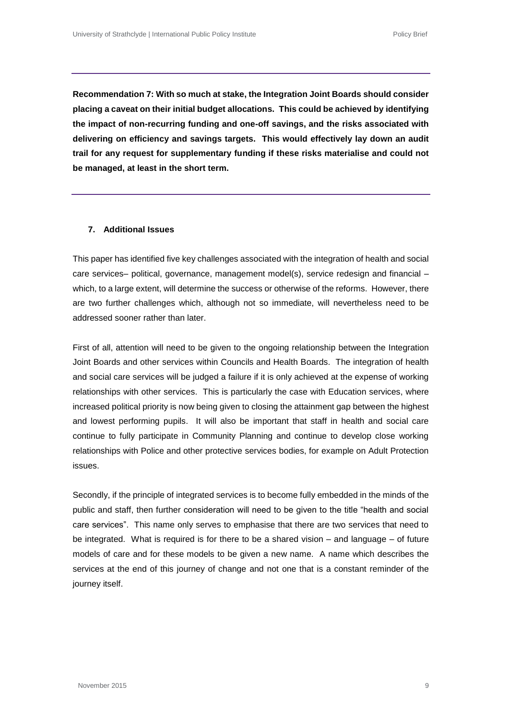**Recommendation 7: With so much at stake, the Integration Joint Boards should consider placing a caveat on their initial budget allocations. This could be achieved by identifying the impact of non-recurring funding and one-off savings, and the risks associated with delivering on efficiency and savings targets. This would effectively lay down an audit trail for any request for supplementary funding if these risks materialise and could not be managed, at least in the short term.**

#### **7. Additional Issues**

This paper has identified five key challenges associated with the integration of health and social care services– political, governance, management model(s), service redesign and financial – which, to a large extent, will determine the success or otherwise of the reforms. However, there are two further challenges which, although not so immediate, will nevertheless need to be addressed sooner rather than later.

First of all, attention will need to be given to the ongoing relationship between the Integration Joint Boards and other services within Councils and Health Boards. The integration of health and social care services will be judged a failure if it is only achieved at the expense of working relationships with other services. This is particularly the case with Education services, where increased political priority is now being given to closing the attainment gap between the highest and lowest performing pupils. It will also be important that staff in health and social care continue to fully participate in Community Planning and continue to develop close working relationships with Police and other protective services bodies, for example on Adult Protection issues.

Secondly, if the principle of integrated services is to become fully embedded in the minds of the public and staff, then further consideration will need to be given to the title "health and social care services". This name only serves to emphasise that there are two services that need to be integrated. What is required is for there to be a shared vision – and language – of future models of care and for these models to be given a new name. A name which describes the services at the end of this journey of change and not one that is a constant reminder of the journey itself.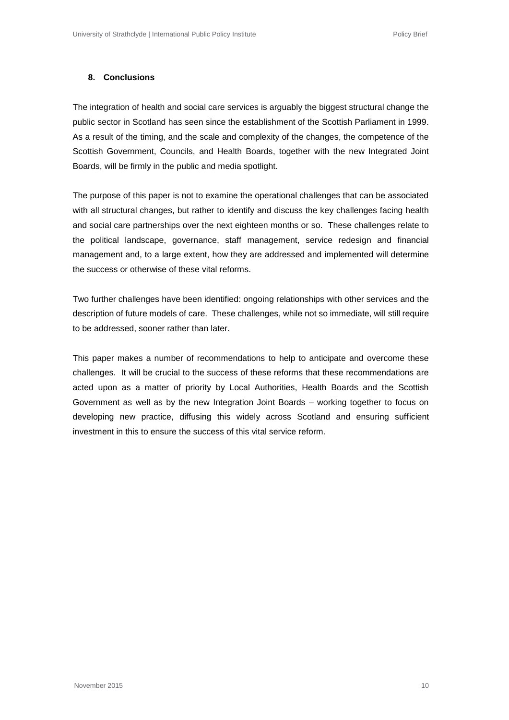#### **8. Conclusions**

The integration of health and social care services is arguably the biggest structural change the public sector in Scotland has seen since the establishment of the Scottish Parliament in 1999. As a result of the timing, and the scale and complexity of the changes, the competence of the Scottish Government, Councils, and Health Boards, together with the new Integrated Joint Boards, will be firmly in the public and media spotlight.

The purpose of this paper is not to examine the operational challenges that can be associated with all structural changes, but rather to identify and discuss the key challenges facing health and social care partnerships over the next eighteen months or so. These challenges relate to the political landscape, governance, staff management, service redesign and financial management and, to a large extent, how they are addressed and implemented will determine the success or otherwise of these vital reforms.

Two further challenges have been identified: ongoing relationships with other services and the description of future models of care. These challenges, while not so immediate, will still require to be addressed, sooner rather than later.

This paper makes a number of recommendations to help to anticipate and overcome these challenges. It will be crucial to the success of these reforms that these recommendations are acted upon as a matter of priority by Local Authorities, Health Boards and the Scottish Government as well as by the new Integration Joint Boards – working together to focus on developing new practice, diffusing this widely across Scotland and ensuring sufficient investment in this to ensure the success of this vital service reform.